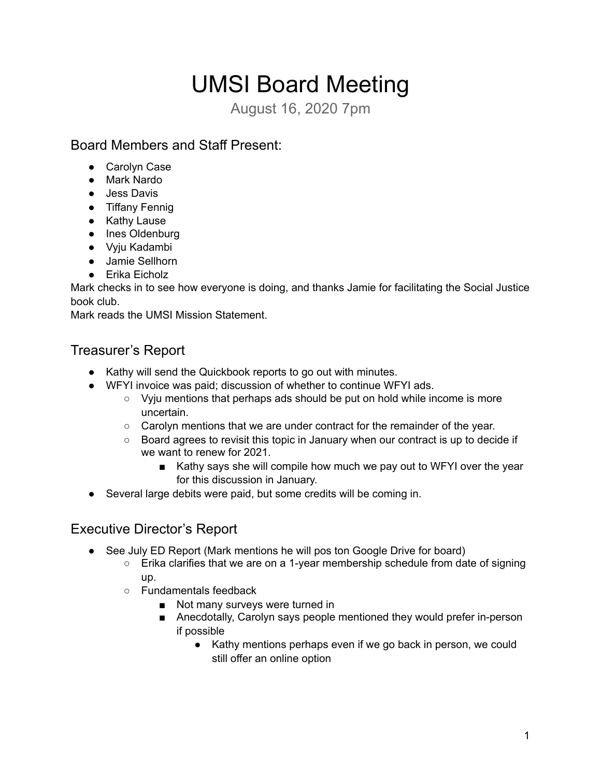# UMSI Board Meeting

August 16, 2020 7pm

# Board Members and Staff Present:

- Carolyn Case
- Mark Nardo
- Jess Davis
- Tiffany Fennig
- Kathy Lause
- Ines Oldenburg
- Vyju Kadambi
- Jamie Sellhorn
- Erika Eicholz

Mark checks in to see how everyone is doing, and thanks Jamie for facilitating the Social Justice book club.

Mark reads the UMSI Mission Statement.

## Treasurer's Report

- Kathy will send the Quickbook reports to go out with minutes.
- WFYI invoice was paid; discussion of whether to continue WFYI ads.
	- Vyju mentions that perhaps ads should be put on hold while income is more uncertain.
	- Carolyn mentions that we are under contract for the remainder of the year.
	- Board agrees to revisit this topic in January when our contract is up to decide if we want to renew for 2021.
		- Kathy says she will compile how much we pay out to WFYI over the year for this discussion in January.
- Several large debits were paid, but some credits will be coming in.

### Executive Director's Report

- See July ED Report (Mark mentions he will pos ton Google Drive for board)
	- $\circ$  Erika clarifies that we are on a 1-year membership schedule from date of signing up.
	- Fundamentals feedback
		- Not many surveys were turned in
		- Anecdotally, Carolyn says people mentioned they would prefer in-person if possible
			- Kathy mentions perhaps even if we go back in person, we could still offer an online option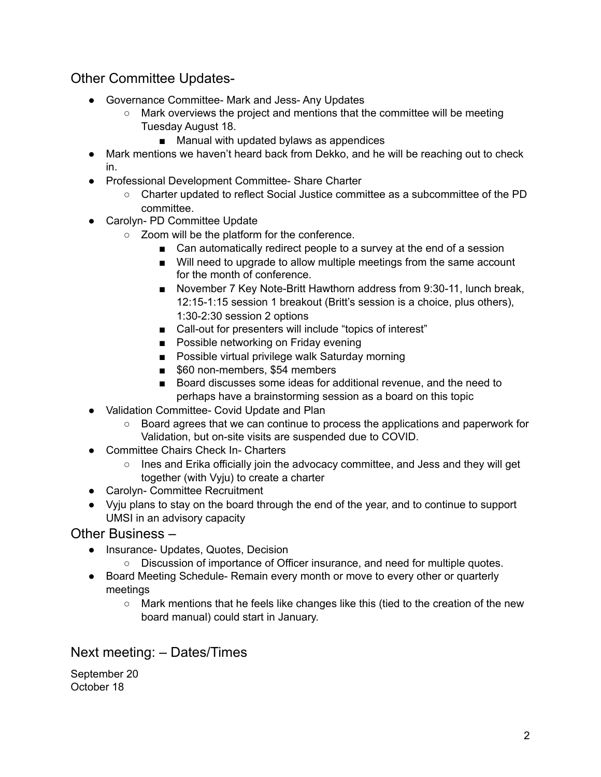## Other Committee Updates-

- Governance Committee- Mark and Jess- Any Updates
	- Mark overviews the project and mentions that the committee will be meeting Tuesday August 18.
		- Manual with updated bylaws as appendices
- Mark mentions we haven't heard back from Dekko, and he will be reaching out to check in.
- Professional Development Committee- Share Charter
	- Charter updated to reflect Social Justice committee as a subcommittee of the PD committee.
- Carolyn- PD Committee Update
	- Zoom will be the platform for the conference.
		- Can automatically redirect people to a survey at the end of a session
		- Will need to upgrade to allow multiple meetings from the same account for the month of conference.
		- November 7 Key Note-Britt Hawthorn address from 9:30-11, lunch break, 12:15-1:15 session 1 breakout (Britt's session is a choice, plus others), 1:30-2:30 session 2 options
		- Call-out for presenters will include "topics of interest"
		- Possible networking on Friday evening
		- Possible virtual privilege walk Saturday morning
		- \$60 non-members, \$54 members
		- Board discusses some ideas for additional revenue, and the need to perhaps have a brainstorming session as a board on this topic
- Validation Committee- Covid Update and Plan
	- Board agrees that we can continue to process the applications and paperwork for Validation, but on-site visits are suspended due to COVID.
- Committee Chairs Check In- Charters
	- Ines and Erika officially join the advocacy committee, and Jess and they will get together (with Vyju) to create a charter
- Carolyn- Committee Recruitment
- Vyju plans to stay on the board through the end of the year, and to continue to support UMSI in an advisory capacity

#### Other Business –

- Insurance- Updates, Quotes, Decision
	- Discussion of importance of Officer insurance, and need for multiple quotes.
- Board Meeting Schedule- Remain every month or move to every other or quarterly meetings
	- Mark mentions that he feels like changes like this (tied to the creation of the new board manual) could start in January.

#### Next meeting: – Dates/Times

September 20 October 18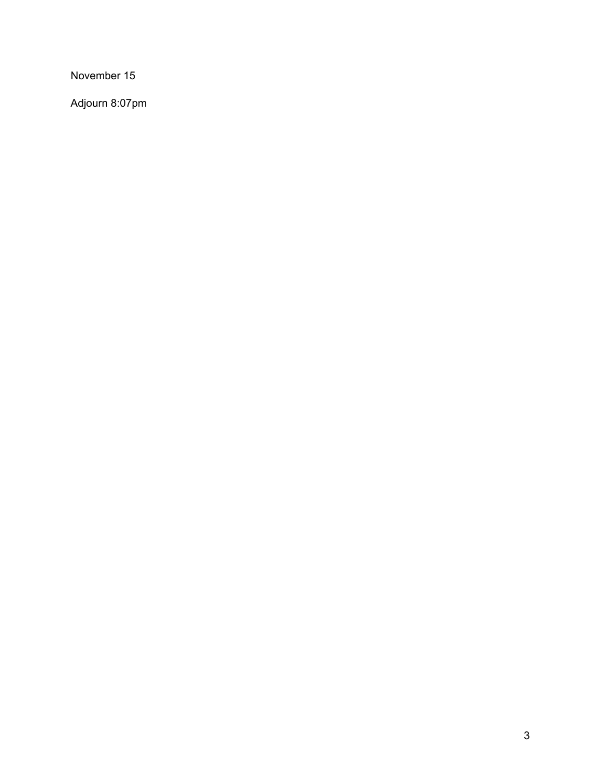November 15

Adjourn 8:07pm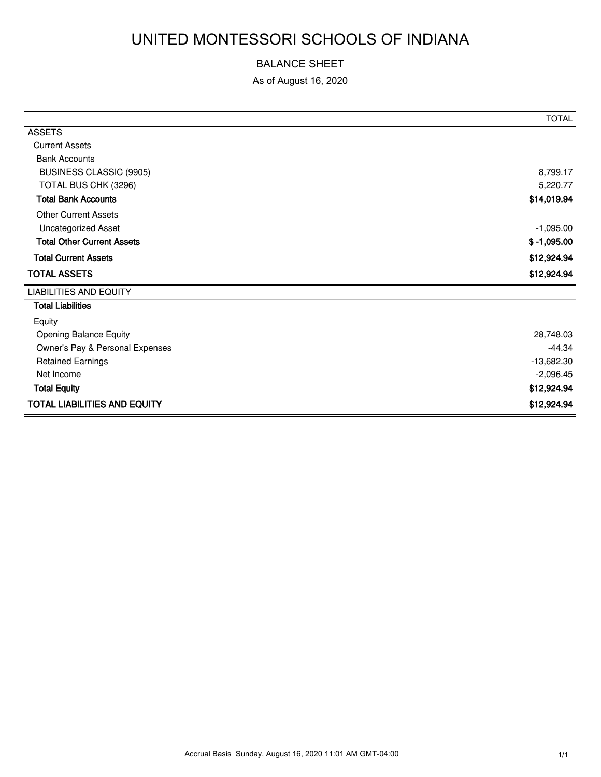# UNITED MONTESSORI SCHOOLS OF INDIANA

#### BALANCE SHEET

As of August 16, 2020

|                                     | <b>TOTAL</b>  |
|-------------------------------------|---------------|
| <b>ASSETS</b>                       |               |
| <b>Current Assets</b>               |               |
| <b>Bank Accounts</b>                |               |
| <b>BUSINESS CLASSIC (9905)</b>      | 8,799.17      |
| TOTAL BUS CHK (3296)                | 5,220.77      |
| <b>Total Bank Accounts</b>          | \$14,019.94   |
| <b>Other Current Assets</b>         |               |
| <b>Uncategorized Asset</b>          | $-1,095.00$   |
| <b>Total Other Current Assets</b>   | $$ -1,095.00$ |
| <b>Total Current Assets</b>         | \$12,924.94   |
| <b>TOTAL ASSETS</b>                 | \$12,924.94   |
| <b>LIABILITIES AND EQUITY</b>       |               |
| <b>Total Liabilities</b>            |               |
| Equity                              |               |
| Opening Balance Equity              | 28,748.03     |
| Owner's Pay & Personal Expenses     | $-44.34$      |
| <b>Retained Earnings</b>            | $-13,682.30$  |
| Net Income                          | $-2,096.45$   |
| <b>Total Equity</b>                 | \$12,924.94   |
| <b>TOTAL LIABILITIES AND EQUITY</b> | \$12,924.94   |